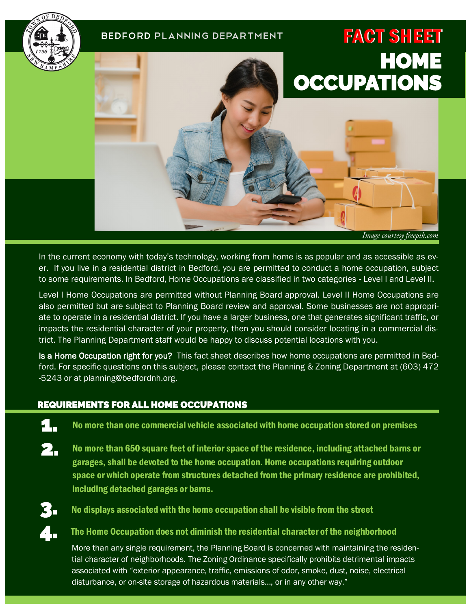

In the current economy with today's technology, working from home is as popular and as accessible as ever. If you live in a residential district in Bedford, you are permitted to conduct a home occupation, subject to some requirements. In Bedford, Home Occupations are classified in two categories - Level I and Level II.

Level I Home Occupations are permitted without Planning Board approval. Level II Home Occupations are also permitted but are subject to Planning Board review and approval. Some businesses are not appropriate to operate in a residential district. If you have a larger business, one that generates significant traffic, or impacts the residential character of your property, then you should consider locating in a commercial district. The Planning Department staff would be happy to discuss potential locations with you.

Is a Home Occupation right for you? This fact sheet describes how home occupations are permitted in Bedford. For specific questions on this subject, please contact the Planning & Zoning Department at (603) 472 -5243 or at planning@bedfordnh.org.

## REQUIREMENTS FOR ALL HOME OCCUPATIONS

- 1. No more than one commercial vehicle associated with home occupation stored on premises
- No more than 650 square feet of interior space of the residence, including attached barns or garages, shall be devoted to the home occupation. Home occupations requiring outdoor space or which operate from structures detached from the primary residence are prohibited, including detached garages or barns. 2.
- 4.

3. No displays associated with the home occupation shall be visible from the street

The Home Occupation does not diminish the residential character of the neighborhood

More than any single requirement, the Planning Board is concerned with maintaining the residential character of neighborhoods. The Zoning Ordinance specifically prohibits detrimental impacts associated with "exterior appearance, traffic, emissions of odor, smoke, dust, noise, electrical disturbance, or on-site storage of hazardous materials…, or in any other way."